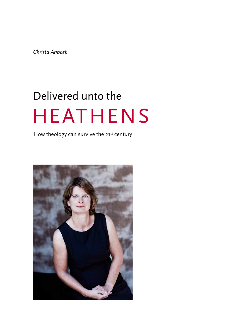*Christa Anbeek*

# Delivered unto the HEATHENS

How theology can survive the 21<sup>st</sup> century

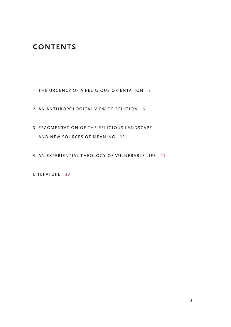## **Contents**

**1** THE URGENCY OF A RELIGIOUS ORIENTATION 3

2 AN ANTHROPOLOGICAL VIEW OF RELIGION 6

- 3 FRAGMENTATION OF THE RELIGIOUS LANDSCAPE AND NEW SOURCES OF MEANING 11
- 4 AN EXPERIENTIAL THEOLOGY OF VULNERABLE LIFE 19

LITERATURE 33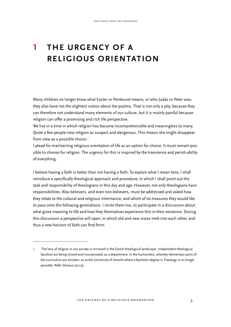## **1 THE URGENCY OF A RELIGIOUS ORIENTATION**

Many children no longer know what Easter or Pentecost means, or who Judas or Peter was; they also have not the slightest notion about the psalms. That is not only a pity, because they can therefore not understand many elements of our culture, but it is mainly painful because religion can offer a promising and rich life perspective.

We live in a time in which religion has become incomprehensible and meaningless to many. Quite a few people view religion as suspect and dangerous. This means she might disappear from view as a possible choice.<sup>1</sup>

I plead for maintaining religious orientation of life as an option for choice. It must remain possible to choose for religion. The urgency for this is inspired by the transience and perish-ability of everything.

I believe having a faith is better than not having a faith. To explain what I mean here, I shall introduce a specifically theological approach and procedure, in which I shall point out the task and responsibility of theologians in this day and age. However, not only theologians have responsibilities. Also believers, and even non-believers, must be addressed and asked how they relate to the cultural and religious inheritance, and which of its treasures they would like to pass onto the following generations. I invite them too, to participate in a discussion about what gives meaning to life and how they themselves experience this in their existence. During this discussion a perspective will open, in which old and new vistas melt into each other, and thus a new horizon of faith can find form.

<sup>1</sup> The loss of religion in our society is mirrored in the Dutch theological landscape. Independent theological faculties are being closed and incorporated, as a department, in the humanities, whereby elementary parts of the curriculum are stricken, as at the University of Utrecht where a Bachelor degree in Theology is no longer possible. Refer Denaux (2013).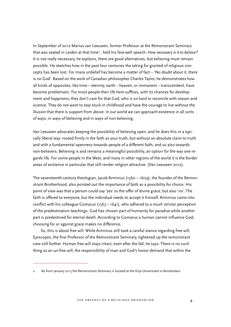In September of 2012 Marius van Leeuwen, former Professor at the Remonstrant Seminary that was seated in Leiden at that time<sup>2</sup> , held his fare-well speech: *How necessary is it to believe?* It is not really necessary, he explains, there are good alternatives, but believing must remain possible. He sketches how in the past four centuries the taking for granted of religious concepts has been lost. For many unbelief has become a matter of fact – 'No doubt about it, there is no God'. Based on the work of Canadian philosopher Charles Taylor, he demonstrates how all kinds of opposites, like time – eternity, earth – heaven, or immanent – transcendent, have become problematic. For most people their life here suffices, with its chances for development and happiness; they don't care for that God, who is so hard to reconcile with reason and science. They do not want to stay stuck in childhood and have the courage to live without the illusion that there is support from above. In our world we can approach existence in all sorts of ways, in ways of believing and in ways of non-believing.

Van Leeuwen advocates keeping the possibility of believing open, and he does this in a typically liberal way: rooted firmly in the faith as your truth, but without an absolute claim to truth and with a fundamental openness towards people of a different faith, and so also towards non-believers. Believing is and remains a meaningful possibility, an option for the way one regards life. For some people in the West, and many in other regions of the world it is the border areas of existence in particular that still render religion attractive. (Van Leeuwen 2012).

The seventeenth-century theologian, Jacob Arminius (1560 – 1609), the founder of the Remonstrant Brotherhood, also pointed out the importance of faith as a possibility for choice. His point of view was that a person could say 'yes' to the offer of divine grace, but also 'no'. The faith is offered to everyone, but the individual needs to accept it himself. Arminius came into conflict with his colleague Gomarus (1563 – 1641), who adhered to a much stricter perception of the predestination teachings. God has chosen part of humanity for paradise while another part is predestined for eternal death. According to Gomarus a human cannot influence God; choosing for or against grace makes no difference.

So, this is about free will. While Arminius still took a careful stance regarding free will, Episcopes, the first Professor of the Remonstrant Seminary, tightened up the remonstrant view still further. Human free will stays intact, even after the fall, he says. There is no such thing as an un-free will; the responsibility of man and God's honor demand that within the

<sup>2</sup> As from January 2013 the Remonstrant Seminary is located at the Vrije Universiteit in Amsterdam.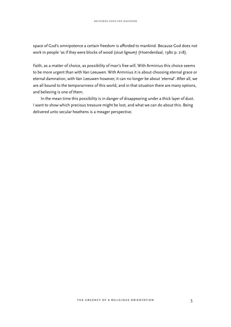space of God's omnipotence a certain freedom is afforded to mankind. Because God does not work in people 'as if they were blocks of wood (*sicut lignum)* (Hoenderdaal, 1980 p. 218).

Faith, as a matter of choice, as possibility of man's free will. With Arminius this choice seems to be more urgent than with Van Leeuwen. With Arminius it is about choosing eternal grace or eternal damnation, with Van Leeuwen however, it can no longer be about 'eternal'. After all, we are all bound to the temporariness of this world, and in that situation there are many options, and believing is one of them.

In the mean time this possibility is in danger of disappearing under a thick layer of dust. I want to show which precious treasure might be lost, and what we can do about this. Being delivered unto secular heathens is a meager perspective.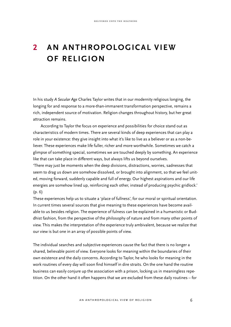## **2 AN ANTHROPOLOGICAL VIEW OF RELIGION**

In his study *A Secular Age* Charles Taylor writes that in our modernity religious longing, the longing for and response to a more-than-immanent transformation perspective, remains a rich, independent source of motivation. Religion changes throughout history, but her great attraction remains.

According to Taylor the focus on experience and possibilities for choice stand out as characteristics of modern times. There are several kinds of deep experiences that can play a role in your existence: they give insight into what it's like to live as a believer or as a non-believer. These experiences make life fuller, richer and more worthwhile. Sometimes we catch a glimpse of something special, sometimes we are touched deeply by something. An experience like that can take place in different ways, but always lifts us beyond ourselves.

'There may just be moments when the deep divisions, distractions, worries, sadnesses that seem to drag us down are somehow dissolved, or brought into alignment, so that we feel united, moving forward, suddenly capable and full of energy. Our highest aspirations and our life energies are somehow lined up, reinforcing each other, instead of producing psychic gridlock.' (p. 6)

These experiences help us to situate a 'place of fullness', for our moral or spiritual orientation. In current times several sources that give meaning to these experiences have become available to us besides religion. The experience of fulness can be explained in a humanistic or Buddhist fashion, from the perspective of the philosophy of nature and from many other points of view. This makes the interpretation of the experience truly ambivalent, because we realize that our view is but one in an array of possible points of view.

The individual searches and subjective experiences cause the fact that there is no longer a shared, believable point of view. Everyone looks for meaning within the boundaries of their own existence and the daily concerns. According to Taylor, he who looks for meaning in the work routines of every day will soon find himself in dire straits. On the one hand the routine business can easily conjure up the association with a prison, locking us in meaningless repetition. On the other hand it often happens that we are excluded from these daily routines – for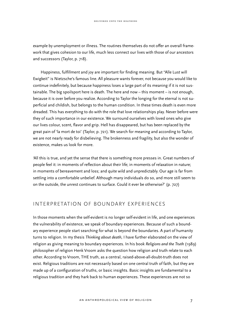example by unemployment or illness. The routines themselves do not offer an overall framework that gives cohesion to our life, much less connect our lives with those of our ancestors and successors (Taylor, p. 718).

Happiness, fulfillment and joy are important for finding meaning. But "Alle Lust will Ewigkeit" is Nietzsche's famous line. All pleasure wants forever, not because you would like to continue indefinitely, but because happiness loses a large part of its meaning if it is not sustainable. The big spoilsport here is death. The here and now – this moment – is not enough, because it is over before you realize. According to Taylor the longing for the eternal is not superficial and childish, but belongs to the human condition. In these times death is even more dreaded. This has everything to do with the role that love relationships play. Never before were they of such importance in our existence. We surround ourselves with loved ones who give our lives colour, scent, flavor and grip. Hell has disappeared, but has been replaced by the great pain of 'la mort de toi' (Taylor, p. 721). We search for meaning and according to Taylor, we are not nearly ready for disbelieving. The brokenness and fragility, but also the wonder of existence, makes us look for more.

'All this is true, and yet the sense that there is something more presses in. Great numbers of people feel it: in moments of reflection about their life; in moments of relaxation in nature; in moments of bereavement and loss; and quite wild and unpredictably. Our age is far from settling into a comfortable unbelief. Although many individuals do so, and more still seem to on the outside, the unrest continues to surface. Could it ever be otherwise?' (p. 727)

#### INTERPRETATION OF BOUNDARY EXPERIENCES

In those moments when the self-evident is no longer self-evident in life, and one experiences the vulnerability of existence, we speak of boundary experiences. Because of such a boundary experience people start searching for what is beyond the boundaries. A part of humanity turns to religion. In my thesis *Thinking about death,* I have further elaborated on the view of religion as giving meaning to boundary experiences. In his book *Religions and the Truth* (1989) philosopher of religion Henk Vroom asks the question how religion and truth relate to each other. According to Vroom, THE truth, as a central, raised-above-all-doubt-truth does not exist. Religious traditions are not necessarily based on one central truth of faith, but they are made up of a configuration of truths, or basic insights. Basic insights are fundamental to a religious tradition and they hark back to human experiences. These experiences are not so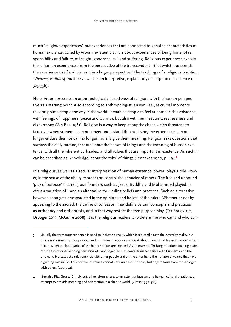much 'religious experiences', but experiences that are connected to genuine characteristics of human existence, called by Vroom 'existentials'. It is about experiences of being finite, of responsibility and failure, of insight, goodness, evil and suffering. Religious experiences explain these human experiences from the perspective of the transcendent – that which transcends the experience itself and places it in a larger perspective. $^3$  The teachings of a religious tradition (*dharma, veritates*) must be viewed as an interpretive, explanatory description of existence (p. 329-358).

Here, Vroom presents an anthropologically based view of religion, with the human perspective as a starting point. Also according to anthropologist Jan van Baal, at crucial moments religion points people the way in the world. It enables people to feel at home in this existence, with feelings of happiness, peace and warmth, but also with her insecurity, restlessness and disharmony (Van Baal 1981). Religion is a way to keep at bay the chaos which threatens to take over when someone can no longer understand the events he/she experience, can no longer endure them or can no longer morally give them meaning. Religion asks questions that surpass the daily routine, that are about the nature of things and the meaning of human existence, with all the inherent dark sides, and all values that are important in existence. As such it can be described as 'knowledge' about the 'why' of things (Tennekes 1990, p. 49).<sup>4</sup>

In a religious, as well as a secular interpretation of human existence 'power' plays a role. Power, in the sense of the ability to steer and control the behavior of others. The free and unbound 'play of purpose' that religious founders such as Jezus, Buddha and Mohammed played, is often a variation of – and an alternative for – ruling beliefs and practices. Such an alternative however, soon gets encapsulated in the opinions and beliefs of the rulers. Whether or not by appealing to the sacred, the divine or to reason, they define certain concepts and practices as orthodoxy and orthopraxis, and in that way restrict the free purpose play. (Ter Borg 2010, Drooger 2011, McGuire 2008). It is the religious leaders who determine who can and who can-

<sup>3</sup> Usually the term transcendence is used to indicate a reality which is situated above the everyday reality, but this is not a must. Ter Borg (2010) and Kunneman (2005) also, speak about 'horizontal transcendence', which occurs when the boundaries of the here and now are crossed. As an example Ter Borg mentions making plans for the future or developing new ways of living together. Horizontal transcendence with Kunneman on the one hand indicates the relationships with other people and on the other hand the horizon of values that have a guiding role in life. This horizon of values cannot have an absolute base, but begets form from the dialogue with others (2005, 72).

<sup>4</sup> See also Rita Gross: 'Simply put, all religions share, to an extent unique among human cultural creations, an attempt to provide meaning and orientation in a chaotic world, (Gross 1993, 316).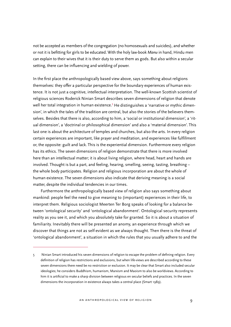not be accepted as members of the congregation (no homosexuals and suicides), and whether or not it is befitting for girls to be educated. With the holy law-book *Manu* in hand, Hindu men can explain to their wives that it is their duty to serve them as gods. But also within a secular setting, there can be influencing and wielding of power.

In the first place the anthropologically based view above, says something about religions themselves: they offer a particular perspective for the boundary experiences of human existence. It is not just a cognitive, intellectual interpretation. The well-known Scottish scientist of religious sciences Roderick Ninian Smart describes seven dimensions of religion that denote well her total integration in human existence.<sup>5</sup> He distinguishes a 'narrative or mythic dimension', in which the tales of the tradition are central, but also the stories of the believers themselves. Besides that there is also, according to him, a 'social or institutional dimension', a 'ritual dimension', a 'doctrinal or philosophical dimension' and also a 'material dimension'. This last one is about the architecture of temples and churches, but also the arts. In every religion certain experiences are important, like prayer and meditation, and experiences like fulfillment or, the opposite: guilt and lack. This is the experiential dimension. Furthermore every religion has its ethics. The seven dimensions of religion demonstrate that there is more involved here than an intellectual matter; it is about living religion, where head, heart and hands are involved. Thought is but a part, and feeling, hearing, smelling, seeing, tasting, breathing – the whole body participates. Religion and religious incorporation are about the whole of human existence. The seven dimensions also indicate that deriving meaning is a social matter, despite the individual tendencies in our times.

Furthermore the anthropologically based view of religion also says something about mankind: people feel the need to give meaning to (important) experiences in their life, to interpret them. Religious sociologist Meerten Ter Borg speaks of looking for a balance between 'ontological security' and 'ontological abandonment'. Ontological security represents reality as you see it, and which you absolutely take for granted. So it is about a situation of familiarity. Inevitably there will be presented an anomy, an experience through which we discover that things are not as self-evident as we always thought. Then there is the threat of 'ontological abandonment', a situation in which the rules that you usually adhere to and the

<sup>5</sup> Ninian Smart introduced his seven dimensions of religion to escape the problem of defining religion. Every definition of religion has restrictions and exclusions, but when life-views are described according to these seven dimensions there need be no restriction or exclusion. It may be clear that Smart also included secular ideologies; he considers Buddhism, humanism, Marxism and Maoism to also be worldviews. According to him it is artificial to make a sharp division between religious en secular beliefs and practices. In the seven dimensions the incorporation in existence always takes a central place (Smart 1989).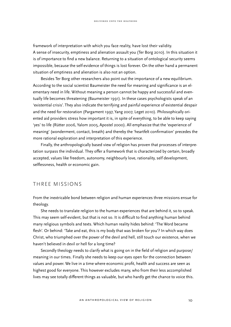framework of interpretation with which you face reality, have lost their validity.

A sense of insecurity, emptiness and alienation assault you (Ter Borg 2010). In this situation it is of importance to find a new balance. Returning to a situation of ontological security seems impossible, because the self-evidence of things is lost forever. On the other hand a permanent situation of emptiness and alienation is also not an option.

Besides Ter Borg other researchers also point out the importance of a new equilibrium. According to the social scientist Baumeister the need for meaning and significance is an elementary need in life. Without meaning a person cannot be happy and successful and eventually life becomes threatening (Baumeister 1991). In these cases psychologists speak of an 'existential crisis'. They also indicate the terrifying and painful experience of existential despair and the need for restoration (Pargament 1997, Yang 2007, Leget 2010). Philosophically oriented aid providers stress how important it is, in spite of everything, to be able to keep saying 'yes' to life (Rütter 2006, Yalom 2005, Apostel 2000). All emphasize that the 'experience of meaning' (wonderment, contact, breath) and thereby the 'heartfelt confirmation' precedes the more rational exploration and interpretation of this experience.

Finally, the anthropologically based view of religion has proven that processes of interpretation surpass the individual. They offer a framework that is characterized by certain, broadly accepted, values like freedom, autonomy, neighbourly love, rationality, self development, selflessness, health or economic gain.

#### THREE MISSIONS

From the inextricable bond between religion and human experiences three missions ensue for theology.

She needs to translate religion to the human experiences that are behind it, so to speak. This may seem self-evident, but that is not so. It is difficult to find anything human behind many religious symbols and texts. Which human reality hides behind: 'The Word became flesh'. Or behind: 'Take and eat, this is my body that was broken for you'? In which way does Christ, who triumphed over the power of the devil and hell, still touch our existence, when we haven't believed in devil or hell for a long time?

Secondly theology needs to clarify what is going on in the field of religion and purpose/ meaning in our times. Finally she needs to keep our eyes open for the connection between values and power. We live in a time where economic profit, health and success are seen as highest good for everyone. This however excludes many, who from their less accomplished lives may see totally different things as valuable, but who hardly get the chance to voice this.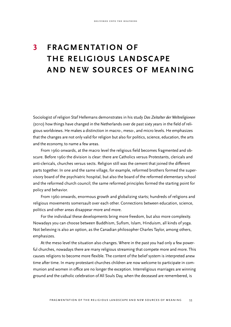# **3 FRAGMENTATION OF THE RELIGIOUS LANDSCAPE AND NEW SOURCES OF MEANING**

Sociologist of religion Staf Hellemans demonstrates in his study *Das Zeitalter der Weltreligionen* (2010) how things have changed in the Netherlands over de past sixty years in the field of religious worldviews. He makes a distinction in macro-, meso-, and micro levels. He emphasizes that the changes are not only valid for religion but also for politics, science, education, the arts and the economy, to name a few areas.

From 1960 onwards, at the macro level the religious field becomes fragmented and obscure. Before 1960 the division is clear: there are Catholics versus Protestants, clericals and anti-clericals, churches versus sects. Religion still was the cement that joined the different parts together. In one and the same village, for example, reformed brothers formed the supervisory board of the psychiatric hospital, but also the board of the reformed elementary school and the reformed church council; the same reformed principles formed the starting point for policy and behavior.

From 1960 onwards, enormous growth and globalizing starts; hundreds of religions and religious movements somersault over each other. Connections between education, science, politics and other areas disappear more and more.

For the individual these developments bring more freedom, but also more complexity. Nowadays you can choose between Buddhism, Sufism, Islam, Hinduism, all kinds of yoga. Not believing is also an option, as the Canadian philosopher Charles Taylor, among others, emphasizes.

At the meso level the situation also changes. Where in the past you had only a few powerful churches, nowadays there are many religious streaming that compete more and more. This causes religions to become more flexible. The content of the belief system is interpreted anew time after time. In many protestant churches children are now welcome to participate in communion and women in office are no longer the exception. Interreligious marriages are winning ground and the catholic celebration of All Souls Day, when the deceased are remembered, is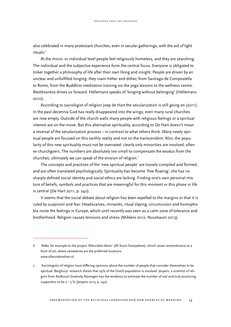also celebrated in many protestant churches, even in secular gatherings, with the aid of light rituals.6

At the micro- or individual level people feel religiously homeless, and they are searching. The individual and the subjective experience form the central focus. Everyone is obligated to tinker together a philosophy of life after their own liking and insight. People are driven by an unclear and unfulfilled longing: they roam hither and dither, from Santiago de Compostella to Rome, from the Buddhist meditation training via the yoga lessons to the wellness centre. Restlessness drives us forward. Hellemans speaks of 'longing without belonging' (Hellemans 2010).

According to sociologist of religion Joep de Hart the secularization is still going on (2011). In the past decennia God has really disappeared into the wings; even many rural churches are now empty. Outside of the church walls many people with religious feelings or a spiritual interest are on the move. But this alternative spirituality, according to De Hart doesn't mean a reversal of the secularization process – in contrast to what others think. Many newly spiritual people are focused on this earthly reality and not on the transcendent. Also, the popularity of this new spirituality must not be overrated: clearly only minorities are involved, often ex-churchgoers. The numbers are absolutely too small to compensate the exodus from the churches; ultimately we can speak of the erosion of religion.<sup>7</sup>

The concepts and practices of the 'new spiritual people' are loosely compiled and formed, and are often translated psychologically. Spirituality has become 'free floating', she has no sharply defined social identity and social ethics are lacking. Finding one's own personal mixture of beliefs, symbols and practices that are meaningful for this moment or this phase in life is central (De Hart 2011, p. 242).

It seems that the social debate about religion has been expelled to the margins or that it is ruled by suspicion and fear. Headscarves, minarets, ritual slaying, circumcision and homophobia incite the feelings in Europe, which until recently was seen as a calm zone of tolerance and brotherhood. Religion causes tensions and stress (Mikkers 2012, Nussbaum 2013).

<sup>6</sup> Refer, for example to the project 'Allerzielen Alom' (All Souls Everywhere), which raises remembrance to a form of art, where cemeteries are the preferred locations. www.allerzielenalom.nl.

<sup>7</sup> Sociologists of religion have differing opinions about the number of people that consider themselves to be spiritual. Berghuijs' research shows that 29% of the Dutch population is involved. Jespers, a scientist of religion from Radboud Unversity Nijmegen has the tendency to estimate the number of real and truly practicing supporters to be  $2 - 5$ % (Jespers 2013, p. 242).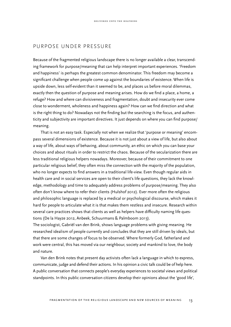#### PURPOSE UNDER PRESSURE

Because of the fragmented religious landscape there is no longer available a clear, transcending framework for purpose/meaning that can help interpret important experiences. 'Freedom and happiness' is perhaps the greatest common denominator. This freedom may become a significant challenge when people come up against the boundaries of existence. When life is upside down, less self-evident than it seemed to be, and places us before moral dilemmas, exactly then the question of purpose and meaning arises. How do we find a place, a home, a refuge? How and where can divisiveness and fragmentation, doubt and insecurity ever come close to wonderment, wholeness and happiness again? How can we find direction and what is the right thing to do? Nowadays not the finding but the searching is the focus, and authenticity and subjectivity are important directives. It just depends on where you can find purpose/ meaning.

That is not an easy task. Especially not when we realize that 'purpose or meaning' encompass several dimensions of existence. Because it is not just about a view of life, but also about a way of life, about ways of behaving, about community, an ethic on which you can base your choices and about rituals in order to restrict the chaos. Because of the secularization there are less traditional religious helpers nowadays. Moreover, because of their commitment to one particular religious belief, they often miss the connection with the majority of the population, who no longer expects to find answers in a traditional life-view. Even though regular aids in health care and in social services are open to their client's life questions, they lack the knowledge, methodology and time to adequately address problems of purpose/meaning. They also often don't know where to refer their clients (Hulshof 2012). Ever more often the religious and philosophic language is replaced by a medical or psychological discourse, which makes it hard for people to articulate what it is that makes them restless and insecure. Research within several care practices shows that clients as well as helpers have difficulty naming life questions (De la Hayze 2012, Anbeek, Schuurmans & Palmboom 2013).

The sociologist, Gabriël van den Brink, shows language problems with giving meaning. He researched idealism of people currently and concludes that they are still driven by ideals, but that there are some changes of focus to be observed. Where formerly God, fatherland and work were central, this has moved via our neighbour, society and mankind to love, the body and nature.

Van den Brink notes that present day activists often lack a language in which to express, communicate, judge and defend their actions. In his opinion a civic talk could be of help here. A public conversation that connects people's everyday experiences to societal views and political standpoints. In this public conversation citizens develop their opinions about the 'good life',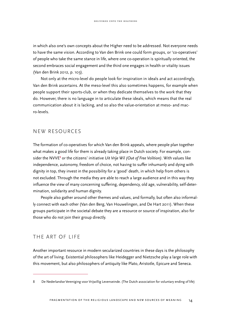in which also one's own concepts about the Higher need to be addressed. Not everyone needs to have the same vision. According to Van den Brink one could form groups, or 'co-operatives' of people who take the same stance in life, where one co-operation is spiritually oriented, the second embraces social engagement and the third one engages in health or vitality issues (Van den Brink 2012, p. 103).

Not only at the micro-level do people look for inspiration in ideals and act accordingly, Van den Brink ascertains. At the meso-level this also sometimes happens, for example when people support their sports-club, or when they dedicate themselves to the work that they do. However, there is no language in to articulate these ideals, which means that the real communication about it is lacking, and so also the value-orientation at meso- and macro-levels.

#### NEW RESOURCES

The formation of co-operatives for which Van den Brink appeals, where people plan together what makes a good life for them is already taking place in Dutch society. For example, consider the NVVE<sup>8</sup> or the citizens' initiative *Uit Vrije Wil (Out of Free Volition)*. With values like independence, autonomy, freedom of choice, not having to suffer inhumanly and dying with dignity in top, they invest in the possibility for a 'good' death, in which help from others is not excluded. Through the media they are able to reach a large audience and in this way they influence the view of many concerning suffering, dependency, old age, vulnerability, self-determination, solidarity and human dignity.

People also gather around other themes and values, and formally, but often also informally connect with each other (Van den Berg, Van Houwelingen, and De Hart 2011). When these groups participate in the societal debate they are a resource or source of inspiration, also for those who do not join their group directly.

#### THE ART OF LIFE

Another important resource in modern secularized countries in these days is the philosophy of the art of living. Existential philosophers like Heidegger and Nietzsche play a large role with this movement, but also philosophers of antiquity like Plato, Aristotle, Epicure and Seneca.

<sup>8</sup> De Nederlandse Vereniging voor Vrijwillig Levenseinde. (The Dutch association for voluntary ending of life)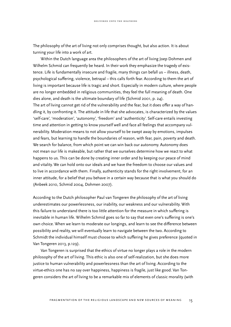The philosophy of the art of living not only comprises thought, but also action. It is about turning your life into a work of art.

Within the Dutch language area the philosophers of the art of living Joep Dohmen and Wilhelm Schmid can frequently be heard. In their work they emphasize the tragedy of existence. Life is fundamentally insecure and fragile, many things can befall us – illness, death, psychological suffering, violence, betrayal – this calls forth fear. According to them the art of living is important because life is tragic and short. Especially in modern culture, where people are no longer embedded in religious communities, they feel the full meaning of death. One dies alone, and death is the ultimate boundary of life (Schmid 2001, p. 24). The art of living cannot get rid of the vulnerability and the fear, but it does offer a way of han-

dling it, by confronting it. The attitude in life that she advocates, is characterized by the values 'self-care', 'moderation', 'autonomy', 'freedom' and 'authenticity'. Self-care entails investing time and attention in getting to know yourself well and face all feelings that accompany vulnerability. Moderation means to not allow yourself to be swept away by emotions, impulses and fears, but learning to handle the boundaries of reason, with fear, pain, poverty and death. We search for balance, from which point we can win back our autonomy. Autonomy does not mean our life is makeable, but rather that we ourselves determine how we react to what happens to us. This can be done by creating inner order and by keeping our peace of mind and vitality. We can hold onto our ideals and we have the freedom to choose our values and to live in accordance with them. Finally, authenticity stands for the right involvement, for an inner attitude, for a belief that you behave in a certain way because that is what you should do (Anbeek 2010, Schmid 2004, Dohmen 2007).

According to the Dutch philosopher Paul van Tongeren the philosophy of the art of living underestimates our powerlessness, our inability, our weakness and our vulnerability. With this failure to understand there is too little attention for the measure in which suffering is inevitable in human life. Wilhelm Schmid goes so far to say that even one's suffering is one's own choice. When we learn to moderate our longings, and learn to see the difference between possibility and reality, we will eventually learn to navigate between the two. According to Schmidt the individual himself must choose to which suffering he gives preference (quoted in Van Tongeren 2013, p.129).

Van Tongeren is surprised that the ethics of virtue no longer plays a role in the modern philosophy of the art of living. This ethic is also one of self-realization, but she does more justice to human vulnerability and powerlessness than the art of living. According to the virtue-ethics one has no say over happiness, happiness is fragile, just like good. Van Tongeren considers the art of living to be a remarkable mix of elements of classic morality (with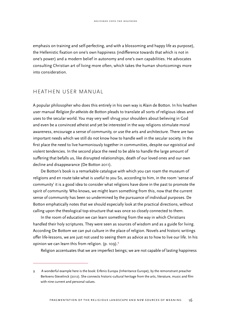emphasis on training and self-perfecting, and with a blossoming and happy life as purpose), the Hellenistic fixation on one's own happiness (indifference towards that which is not in one's power) and a modern belief in autonomy and one's own capabilities. He advocates consulting Christian art of living more often, which takes the human shortcomings more into consideration.

#### HEATHEN USER MANUAL

A popular philosopher who does this entirely in his own way is Alain de Botton. In his heathen user manual *Religion for atheists* de Botton pleads to translate all sorts of religious ideas and uses to the secular world. You may very well shrug your shoulders about believing in God and even be a convinced atheist and yet be interested in the way religions stimulate moral awareness, encourage a sense of community, or use the arts and architecture. There are two important needs which we still do not know how to handle well in the secular society. In the first place the need to live harmoniously together in communities, despite our egoistical and violent tendencies. In the second place the need to be able to handle the large amount of suffering that befalls us, like disrupted relationships, death of our loved ones and our own decline and disappearance (De Botton 2011).

De Botton's book is a remarkable catalogue with which you can roam the museum of religions and en route take what is useful to you So, according to him, in the room 'sense of community' it is a good idea to consider what religions have done in the past to promote the spirit of community. Who knows, we might learn something from this, now that the current sense of community has been so undermined by the pursuance of individual purposes. De Botton emphatically notes that we should especially look at the practical directions, without calling upon the theological top-structure that was once so closely connected to them.

In the room of education we can learn something from the way in which Christians handled their holy scriptures. They were seen as sources of wisdom and as a guide for living. According De Bottom we can put culture in the place of religion. Novels and historic writings offer life-lessons, we are just not used to seeing them as advice as to how to live our life. In his opinion we can learn this from religion. (p. 109).<sup>9</sup>

Religion accentuates that we are imperfect beings; we are not capable of lasting happiness

<sup>9</sup> A wonderful example here is the book: Erfenis Europa (Inheritance Europe), by the remonstrant preacher Berkvens-Stevelinck (2012). She connects historic-cultural heritage from the arts, literature, music and film with nine current and personal values.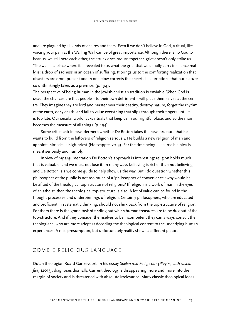and are plagued by all kinds of desires and fears. Even if we don't believe in God, a ritual, like voicing your pain at the Wailing Wall can be of great importance. Although there is no God to hear us, we still here each other, the struck ones mourn together, grief doesn't only strike us. 'The wall is a place where it is revealed to us what the grief that we usually carry in silence really is: a drop of sadness in an ocean of suffering. It brings us to the comforting realization that disasters are omni-present and in one blow corrects the cheerful assumptions that our culture so unthinkingly takes as a premise. (p. 194).

The perspective of being human in the jewish-christian tradition is enviable. When God is dead, the chances are that people – to their own detriment – will place themselves at the centre. They imagine they are lord and master over their destiny, destroy nature, forget the rhythm of the earth, deny death, and fail to value everything that slips through their fingers until it is too late. Our secular world lacks rituals that keep us in our rightful place, and so the man becomes the measure of all things (p. 194).

Some critics ask in bewilderment whether De Botton takes the new structure that he wants to build from the leftovers of religion seriously. He builds a new religion of man and appoints himself as high-priest (Holtzappfel 2013). For the time being I assume his plea is meant seriously and humbly.

In view of my argumentation De Botton's approach is interesting: religion holds much that is valuable, and we must not lose it. In many ways believing is richer than not-believing, and De Botton is a welcome guide to help show us the way. But I do question whether this philosopher of the public is not too much of a 'philosopher of convenience': why would he be afraid of the theological top-structure of religions? If religion is a work of man in the eyes of an atheist, then the theological top-structure is also. A lot of value can be found in the thought processes and underpinnings of religion. Certainly philosophers, who are educated and proficient in systematic thinking, should not shirk back from the top-structure of religion. For them there is the grand task of finding out which human treasures are to be dug out of the top-structure. And if they consider themselves to be incompetent they can always consult the theologians, who are more adept at decoding the theological content to the underlying human experiences. A nice presumption, but unfortunately reality shows a different picture.

#### ZOMBIE RELIGIOUS LANGUAGE

Dutch theologian Ruard Ganzevoort, in his essay *Spelen met heilig vuur (Playing with sacred fire)* (2013), diagnoses dismally. Current theology is disappearing more and more into the margin of society and is threatened with absolute irrelevance. Many classic theological ideas,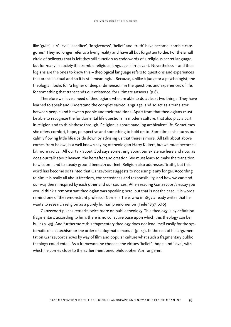like 'guilt', 'sin', 'evil', 'sacrifice', 'forgiveness', 'belief' and 'truth' have become 'zombie-categories'. They no longer refer to a living reality and have all but forgotten to die. For the small circle of believers that is left they still function as code-words of a religious secret language, but for many in society this zombie religious language is irrelevant. Nevertheless – and theologians are the ones to know this – theological language refers to questions and experiences that are still actual and so it is still meaningful. Because, unlike a judge or a psychologist, the theologian looks for 'a higher or deeper dimension' in the questions and experiences of life, for something that transcends our existence, for ultimate answers (p.6).

Therefore we have a need of theologians who are able to do at least two things. They have learned to speak and understand the complex sacred language, and so act as a translator between people and between people and their traditions. Apart from that theologians must be able to recognize the fundamental life questions in modern culture, that also play a part in religion and to think these through. Religion is about handling ambivalent life. Sometimes she offers comfort, hope, perspective and something to hold on to. Sometimes she turns our calmly flowing little life upside down by advising us that there is more. 'All talk about above comes from below', is a well known saying of theologian Harry Kuitert, but we must become a bit more radical. All our talk about God says something about our existence here and now, as does our talk about heaven, the hereafter and creation. We must learn to make the transition to wisdom, and to steady ground beneath our feet. Religion also addresses 'truth', but this word has become so tainted that Ganzevoort suggests to not using it any longer. According to him it is really all about freedom, connectedness and responsibility, and how we can find our way there, inspired by each other and our sources. When reading Ganzevoort's essay you would think a remonstrant theologian was speaking here, but that is not the case. His words remind one of the remonstrant professor Cornelis Tiele, who in 1897 already writes that he wants to research religion as a purely human phenomenon (Tiele 1897, p.10).

Ganzevoort places remarks twice more on public theology. This theology is by definition fragmentary, according to him; there is no collective base upon which this theology can be built (p. 43). And furthermore this fragmentary theology does not lend itself easily for the systematic of a catechism or the order of a dogmatic manual (p. 45). In the rest of his argumentation Ganzevoort shows by way of film and popular culture what such a fragmentary public theology could entail. As a framework he chooses the virtues 'belief', 'hope' and 'love', with which he comes close to the earlier mentioned philosopher Van Tongeren.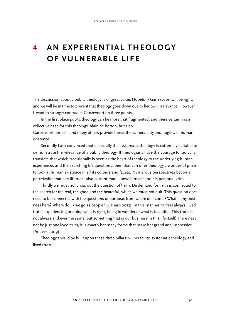## **4 AN EXPERIENTIAL THEOLOGY OF VULNERABLE LIFE**

The discussion about a public theology is of great value. Hopefully Ganzevoort will be right, and we will be in time to prevent that theology goes down due to her own irrelevance. However, I want to strongly contradict Ganzevoort on three points.

In the first place public theology can be more that fragmented, and there certainly is a collective base for this theology. Alain de Botton, but also Ganzevoort himself, and many others provide these: the vulnerability and fragility of human existence.

Secondly I am convinced that especially the systematic theology is extremely suitable to demonstrate the relevance of a public theology. If theologians have the courage to radically translate that which traditionally is seen as the heart of theology to the underlying human experiences and the searching life questions, then that can offer theology a wonderful prism to look at human existence in all its colours and facets. Numerous perspectives become perceivable that can lift man, also current man, above himself and his personal grief.

Thirdly we must not cross out the question of truth. De demand for truth is connected to the search for the real, the good and the beautiful, which we must not quit. This question does need to be connected with the questions of purpose: from where do I come? What is my business here? Where do I / we go as people? (Denaux 2013). In this manner truth is always 'lived truth', experiencing or doing what is right, being in wonder of what is beautiful. This truth is not always and ever the same, but something that is our business in this life itself. There need not be just one lived truth, it is exactly her many forms that make her grand and impressive (Anbeek 2009).

Theology should be built upon these three pillars: vulnerability, systematic theology and lived truth.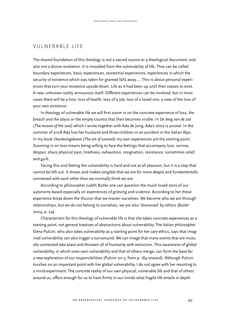#### VULNERABLE LIFE

The shared foundation of this theology is not a sacred source or a theological document, and also not a divine revelation. It is moulded from the vulnerability of life. They can be called boundary experiences, basic experiences, existential experiences, experiences in which the security of existence which was taken for granted falls away..... This is about personal experiences that turn your existence upside down. Life as it had been up until then ceases to exist. A new, unknown reality announces itself. Different experiences can be involved, but in most cases there will be a loss: loss of health, loss of a job, loss of a loved one, a view of the loss of your own existence.

In theology of vulnerable life we will first zoom in on the concrete experience of loss, the breach and the abyss or the empty country that then becomes visible. In *De berg van de ziel (The mount of the soul)* which I wrote together with Ada de Jong, Ada's story is pivotal. In the summer of 2008 Ada lost her husband and three children in an accident in the Italian Alps. In my book *Overlevingskunst (The art of survival)* my own experiences are the starting point. Zooming in on loss means being willing to face the feelings that accompany loss: sorrow, despair, sharp physical pain, tiredness, exhaustion, resignation, resistance, sometimes relief, and guilt.

Facing this and feeling the vulnerability is hard and not at all pleasant, but it is a step that cannot be left out. It shows and makes tangible that we are far more deeply and fundamentally connected with each other than we normally think we are.

According to philosopher Judith Butler one can question the much loved story of our autonomy based especially on experiences of grieving and violence. According to her these experience break down the illusion that we master ourselves. We become who we are through relationships, but we do not belong to ourselves, we are also 'disowned' by others (Butler 2004, p. 24).

Characteristic for this theology of vulnerable life is that she takes concrete experiences as a starting point, not general treatises of abstractions about vulnerability. The Italian philosopher Elena Pulcini, who also takes vulnerability as a starting point for her care ethics, says that imagined vulnerability can also trigger a turnaround. We can image that many events that are mutually connected take place and threaten all of humanity with extinction. This awareness of global vulnerability, in which ones own vulnerability and that of others merge, can form the base for a new exploration of our responsibilities (Pulcini 2013, from p. 184 onward). Although Pulcini touches on an important point with her global vulnerability, I do not agree with her resorting to a mind-experiment. The concrete reality of our own physical, vulnerable life and that of others around us, offers enough for us to have firmly in our minds what fragile life entails in depth.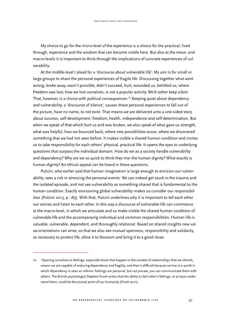My choice to go for the micro-level of the experience is a choice for the practical, lived through, experience and the wisdom that can become visible here. But also at the meso- and macro-levels it is important to think through the implications of concrete experiences of vulnerability.

At the middle-level I plead for a 'discourse about vulnerable life'. My aim is for small or large groups to share the personal experiences of fragile life. Discussing together what went wrong, broke away, wasn't possible, didn't succeed, hurt, wounded us, belittled us, where freedom was lost, how we lost ourselves, is not a popular activity. We'd rather keep silent. That, however, is a choice with political consequences.<sup>10</sup> Keeping quiet about dependency and vulnerability, a 'discourse of silence', causes these personal experiences to fall out of the picture, have no name, to not exist. That means we are delivered unto a one-sided story about success, self-development, freedom, health, independence and self-determination. But when we speak of that which hurt us and was broken, we also speak of what gave us strength, what was helpful, how we bounced back, where new possibilities arose, where we discovered something that we had not seen before. It makes visible a shared human condition and invites us to take responsibility for each others' physical, practical life. It opens the eyes to underlying questions that surpass the individual domain. How do we as a society handle vulnerability and dependency? Why are we so quick to think they mar the human dignity? What exactly is human dignity? An ethical appeal can be heard in these questions.

Pulcini, who earlier said that human imagination is large enough to envision our vulnerability, sees a risk in stressing the personal events. We can indeed get stuck in the trauma and the isolated episode, and not see vulnerability as something shared that is fundamental to the human condition. Exactly envisioning global vulnerability makes us consider our responsibilities (Pulcini 2013, p. 185). With that, Pulcini underlines why it is important to tell each other our stories and listen to each other. In this way a discourse of vulnerable life can commence at the macro-level, in which we articulate and so make visible the shared human condition of vulnerable life and the accompanying individual and common responsibilities. Human life is valuable, vulnerable, dependent, and thoroughly relational. Based on shared insights new value-orientations can arise, so that we also see mutual openness, responsibility and solidarity, as necessary to protect life, allow it to blossom and bring it to a good close.

<sup>10</sup> Opening ourselves to feelings, especially those that happen in the context of relationships that we cherish, means we are capable of enduring dependency and fragility, and that is difficult because we live in a world in which dependency is seen as inferior. Feelings are personal, but not private, you can communicate them with others. The British psychologist Stephen Frosh writes that the ability to feel other's feelings, or at least understand them, could be the pivotal point of our humanity (Frosh 2011).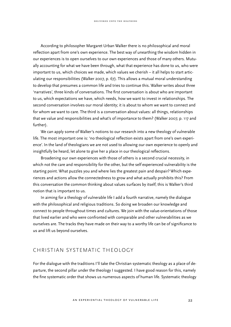Delivered unto the HEATHENS

According to philosopher Margaret Urban Walker there is no philosophical and moral reflection apart from one's own experience. The best way of unearthing the wisdom hidden in our experiences is to open ourselves to our own experiences and those of many others. Mutually accounting for what we have been through, what that experience has done to us, who were important to us, which choices we made, which values we cherish – it all helps to start articulating our responsibilities (Walker 2007, p. 67). This allows a mutual moral understanding to develop that presumes a common life and tries to continue this. Walker writes about three 'narratives', three kinds of conversations. The first conversation is about who are important to us, which expectations we have, which needs, how we want to invest in relationships. The second conversation involves our moral identity; it is about to whom we want to connect and for whom we want to care. The third is a conversation about values: all things, relationships that we value and responsibilities and what's of importance to them? (Walker 2007, p. 117 and further).

We can apply some of Walker's notions to our research into a new theology of vulnerable life. The most important one is: 'no theological reflection exists apart from one's own experience'. In the land of theologians we are not used to allowing our own experience to openly and insightfully be heard, let alone to give her a place in our theological reflections.

Broadening our own experiences with those of others is a second crucial necessity, in which not the care and responsibility for the other, but the self experienced vulnerability is the starting point. What puzzles you and where lies the greatest pain and despair? Which experiences and actions allow the connectedness to grow and what actually prohibits this? From this conversation the common thinking about values surfaces by itself; this is Walker's third notion that is important to us.

In aiming for a theology of vulnerable life I add a fourth narrative, namely the dialogue with the philosophical and religious traditions. So doing we broaden our knowledge and connect to people throughout times and cultures. We join with the value-orientations of those that lived earlier and who were confronted with comparable and other vulnerabilities as we ourselves are. The tracks they have made on their way to a worthy life can be of significance to us and lift us beyond ourselves.

#### CHRISTIAN SYSTEMATIC THEOLOGY

For the dialogue with the traditions I'll take the Christian systematic theology as a place of departure, the second pillar under the theology I suggested. I have good reason for this, namely the fine systematic order that shows us numerous aspects of human life. Systematic theology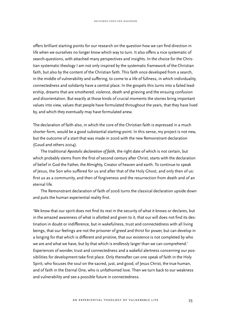offers brilliant starting points for our research on the question how we can find direction in life when we ourselves no longer know which way to turn. It also offers a nice systematic of search-questions, with attached many perspectives and insights. In the choice for the Christian systematic theology I am not only inspired by the systematic framework of the Christian faith, but also by the content of the Christian faith. This faith once developed from a search, in the middle of vulnerability and suffering, to come to a life of fullness, in which individuality, connectedness and solidarity have a central place. In the gospels this turns into a failed leadership, dreams that are smothered, violence, death and grieving and the ensuing confusion and disorientation. But exactly at those kinds of crucial moments the stories bring important values into view, values that people have formulated throughout the years, that they have lived by, and which they eventually may have formulated anew.

The declaration of faith also, in which the core of the Christian faith is expressed in a much shorter form, would be a good substantial starting-point. In this sense, my project is not new, but the outcome of a start that was made in 2006 with the new Remonstrant declaration (Goud and others 2004).

The traditional *Apostolic declaration of faith,* the right date of which is not certain, but which probably stems from the first of second century after Christ, starts with the declaration of belief in God the Father, the Almighty, Creator of heaven and earth. To continue to speak of Jesus, the Son who suffered for us and after that of the Holy Ghost, and only then of us: first us as a community, and then of forgiveness and the resurrection from death and of an eternal life.

The Remonstrant declaration of faith of 2006 turns the classical declaration upside down and puts the human experiential reality first.

'We know that our spirit does not find its rest in the security of what it knows or declares, but in the amazed awareness of what is allotted and given to it, that our will does not find its destination in doubt or indifference, but in wakefulness, trust and connectedness with all living beings, that our feelings are not the prisoner of greed and thirst for power, but can develop in a longing for that which is different and pristine, that our existence is not completed by who we are and what we have, but by that which is endlessly larger than we can comprehend.' Experiences of wonder, trust and connectedness and a wakeful alertness concerning our possibilities for development take first place. Only thereafter can one speak of faith in the Holy Spirit, who focuses the soul on the sacred, just, and good, of Jesus Christ, the true human, and of faith in the Eternal One, who is unfathomed love. Then we turn back to our weakness and vulnerability and see a possible future in connectedness.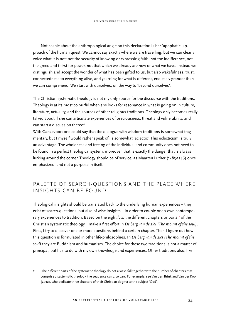Noticeable about the anthropological angle on this declaration is her 'apophatic' approach of the human quest. We cannot say exactly where we are travelling, but we can clearly voice what it is not: not the security of knowing or expressing faith, not the indifference, not the greed and thirst for power, not that which we already are now or what we have. Instead we distinguish and accept the wonder of what has been gifted to us, but also wakefulness, trust, connectedness to everything alive, and yearning for what is different, endlessly grander than we can comprehend. We start with ourselves, on the way to 'beyond ourselves'.

The Christian systematic theology is not my only source for the discourse with the traditions. Theology is at its most colourful when she looks for resonance in what is going on in culture, literature, actuality, and the sources of other religious traditions. Theology only becomes really talked about if she can articulate experiences of preciousness, threat and vulnerability, and can start a discussion thereof.

With Ganzevoort one could say that the dialogue with wisdom-traditions is somewhat fragmentary, but I myself would rather speak of: is somewhat 'eclectic'. This eclecticism is truly an advantage. The wholeness and freeing of the individual and community does not need to be found in a perfect theological system, moreover, that is exactly the danger that is always lurking around the corner. Theology should be of service, as Maarten Luther (1483-1546) once emphasized, and not a purpose in itself.

#### PALETTE OF SEARCH-QUESTIONS AND THE PLACE WHERE INSIGHTS CAN BE FOUND

Theological insights should be translated back to the underlying human experiences – they exist of search-questions, but also of wise insights – in order to couple one's own contemporary experiences to tradition. Based on the eight *loci*, the different chapters or parts<sup>11</sup> of the Christian systematic theology, I make a first effort in *De berg van de ziel (The mount of the soul)*. First, I try to discover one or more questions behind a certain chapter. Then I figure out how this question is formulated in other life-philosophies. In *De berg van de ziel (The mount of the soul)* they are Buddhism and humanism. The choice for these two traditions is not a matter of principal, but has to do with my own knowledge and experiences. Other traditions also, like

<sup>11</sup> The different parts of the systematic theology do not always fall together with the number of chapters that comprise a systematic theology, the sequence can also vary. For example, see Van den Brink and Van der Kooij (2012), who dedicate three chapters of their Christian dogma to the subject 'God'.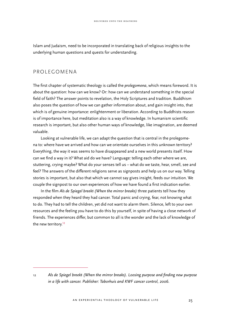Islam and Judaism, need to be incorporated in translating back of religious insights to the underlying human questions and quests for understanding.

#### PROLEGOMENA

The first chapter of systematic theology is called the *prolegomena*, which means foreword. It is about the question: how can we know? Or: how can we understand something in the special field of faith? The answer points to revelation, the Holy Scriptures and tradition. Buddhism also poses the question of how we can gather information about, and gain insight into, that which is of genuine importance: enlightenment or liberation. According to Buddhists reason is of importance here, but meditation also is a way of knowledge. In humanism scientific research is important, but also other human ways of knowledge, like imagination, are deemed valuable.

Looking at vulnerable life, we can adapt the question that is central in the prolegomena to: where have we arrived and how can we orientate ourselves in this unknown territory? Everything, the way it was seems to have disappeared and a new world presents itself. How can we find a way in it? What aid do we have? Language: telling each other where we are, stuttering, crying maybe? What do your senses tell us – what do we taste, hear, smell, see and feel? The answers of the different religions serve as signposts and help us on our way. Telling stories is important, but also that which we cannot say gives insight, feeds our intuition. We couple the signpost to our own experiences of how we have found a first indication earlier.

In the film *Als de Spiegel breekt (When the mirror breaks)* three patients tell how they responded when they heard they had cancer. Total panic and crying, fear, not knowing what to do. They had to tell the children, yet did not want to alarm them. Silence, left to your own resources and the feeling you have to do this by yourself, in spite of having a close network of friends. The experiences differ, but common to all is the wonder and the lack of knowledge of the new territory.<sup>12</sup>

<sup>12</sup> *Als de Spiegel breekt (When the mirror breaks). Loosing purpose and finding new purpose in a life with cancer. Publisher: Taborhuis and KWF cancer control, 2006.*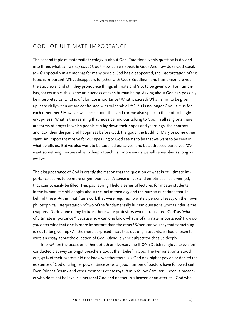#### GOD: OF ULTIMATE IMPORTANCE

The second topic of systematic theology is about God. Traditionally this question is divided into three: what can we say *about* God? How can we speak *to* God? And how does God speak *to us*? Especially in a time that for many people God has disappeared, the interpretation of this topic is important. What disappears together with God? Buddhism and humanism are not theistic views, and still they pronounce things ultimate and 'not to be given up'. For humanists, for example, this is the uniqueness of each human being. Asking about God can possibly be interpreted as: what is of ultimate importance? What is sacred? What is not to be given up, especially when we are confronted with vulnerable life? If it is no longer God, is it us for each other then? How can we speak about this, and can we also speak to this not-to-be-given-up-ness? What is the yearning that hides behind our talking to God. In all religions there are forms of prayer in which people can lay down their hopes and yearnings, their sorrow and lack, their despair and happiness before God, the gods, the Buddha, Mary or some other saint. An important motive for our speaking to God seems to be that we want to be seen in what befalls us. But we also want to be touched ourselves, and be addressed ourselves. We want something inexpressible to deeply touch us. Impressions we will remember as long as we live.

The disappearance of God is exactly the reason that the question of what is of ultimate importance seems to be more urgent than ever. A sense of lack and emptiness has emerged, that cannot easily be filled. This past spring I held a series of lectures for master students in the humanistic philosophy about the loci of theology and the human questions that lie behind these. Within that framework they were required to write a personal essay on their own philosophical interpretation of two of the fundamentally human questions which underlie the chapters. During one of my lectures there were protestors when I translated 'God' as 'what is of ultimate importance?' Because how can one know what is of ultimate importance? How do you determine that one is more important than the other? When can you say that something is not-to-be-given-up? All the more surprised I was that out of 51 students, 21 had chosen to write an essay about the question of God. Obviously the subject touches us deeply.

In 2006, on the occasion of her sixtieth anniversary the IKON (Dutch religious television) conducted a survey amongst preachers about their belief in God. The Remonstrants stood out, 42% of their pastors did not know whether there is a God or a higher power, or denied the existence of God or a higher power. Since 2006 a good number of pastors have followed suit. Even Princes Beatrix and other members of the royal family follow Carel ter Linden, a preacher who does not believe in a personal God and neither in a heaven or an afterlife. 'God who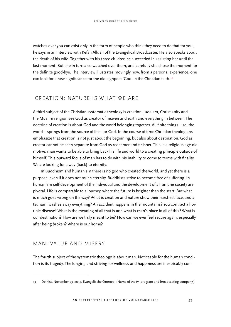watches over you can exist only in the form of people who think they need to do that for you', he says in an interview with Kefah Allush of the Evangelical Broadcaster. He also speaks about the death of his wife. Together with his three children he succeeded in assisting her until the last moment. But she in turn also watched over them, and carefully she chose the moment for the definite good-bye. The interview illustrates movingly how, from a personal experience, one can look for a new significance for the old signpost 'God' in the Christian faith.<sup>13</sup>

#### CREATION: NATURE IS WHAT WE ARE

A third subject of the Christian systematic theology is creation. Judaism, Christianity and the Muslim religion see God as creator of heaven and earth and everything in between. The doctrine of creation is about God and the world belonging together. All finite things – so, the world – springs from the source of life – or God. In the course of time Christian theologians emphasize that creation is not just about the beginning, but also about destination. God as creator cannot be seen separate from God as redeemer and finisher. This is a religious age-old motive: man wants to be able to bring back his life and world to a creating principle outside of himself. This outward focus of man has to do with his inability to come to terms with finality. We are looking for a way (back) to eternity.

In Buddhism and humanism there is no god who created the world, and yet there is a purpose, even if it does not touch eternity. Buddhists strive to become free of suffering. In humanism self-development of the individual and the development of a humane society are pivotal. Life is comparable to a journey, where the future is brighter than the start. But what is much goes wrong on the way? What is creation and nature show their harshest face, and a tsunami washes away everything? An accident happens in the mountains? You contract a horrible disease? What is the meaning of all that is and what is man's place in all of this? What is our destination? How are we truly meant to be? How can we ever feel secure again, especially after being broken? Where is our home?

#### MAN: VALUE AND MISERY

The fourth subject of the systematic theology is about man. Noticeable for the human condition is its tragedy. The longing and striving for wellness and happiness are inextricably con-

<sup>13</sup> De Kist, November 23, 2012, Evangelische Omroep. (Name of the tv- program and broadcasting company.)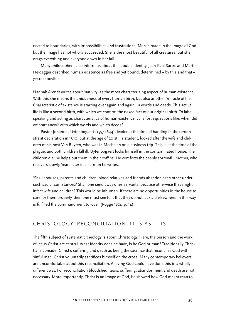nected to boundaries, with impossibilities and frustrations. Man is made in the image of God, but the image has not wholly succeeded. She is the most beautiful of all creatures, but she drags everything and everyone down in her fall.

Many philosophers also inform us about this double identity. Jean-Paul Sartre and Martin Heidegger described human existence as free and yet bound, determined – by this and that – yet responsible.

Hannah Arendt writes about 'nativity' as the most characterizing aspect of human existence. With this she means the uniqueness of every human birth, but also another 'miracle of life'. Characteristic of existence is starting over again and again, in words and deeds. This active life is like a second birth, with which we confirm the naked fact of our original birth. To label speaking and acting as characteristics of human existence, calls forth questions like: when did we start anew? With which words and which deeds?

Pastor Johannes Uytenbogaert (1557-1644), leader at the time of handing in the remonstrant declaration in 1610, but at the age of 20 still a student, looked after the wife and children of his host Van Buyren, who was in Mechelen on a business trip. This is at the time of the plague, and both children fall ill. Uytenbogaert locks himself in the contaminated house. The children die; he helps put them in their coffins. He comforts the deeply sorrowful mother, who recovers slowly. Years later in a sermon he writes:

'Shall spouses, parents and children, blood relatives and friends abandon each other under such sad circumstances? Shall one send away ones servants, because otherwise they might infect wife and children? This would be inhuman. If there are no opportunities in the house to care for them properly, then one must see to it that they do not lack aid elsewhere. In this way is fulfilled the commandment to love.' (Rogge 1874, p. 14).

#### CHRISTOLOGY, RECONCILIATION: IT IS AS IT IS

The fifth subject of systematic theology is about Christology. Here, the person and the work of Jesus Christ are central. What identity does he have, is he God or man? Traditionally Christians consider Christ's suffering and death as being the sacrifice that reconciles God with sinful man. Christ voluntarily sacrifices himself on the cross. Many contemporary believers are uncomfortable about this reconciliation. A loving God could have done this in a wholly different way. For reconciliation bloodshed, tears, suffering, abandonment and death are not necessary. More importantly, Christ is an image of God, he showed how God meant man to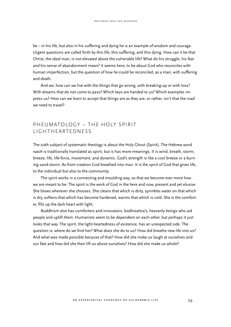be – in his life, but also in his suffering and dying he is an example of wisdom and courage. Urgent questions are called forth by this life, this suffering, and this dying. How can it be that Christ, the ideal man, is not elevated above the vulnerable life? What do his struggle, his fear and his sense of abandonment mean? It seems here, to be about God who reconciles with human imperfection, but the question of how he could be reconciled, as a man, with suffering and death.

And we, how can we live with the things that go wrong, with breaking-up or with loss? With dreams that do not come to pass? Which keys are handed to us? Which examples impress us? How can we learn to accept that things are as they are, or rather, isn't that the road we need to travel?

#### PHEUMATOLOGY – THE HOLY SPIRIT LIGHTHEARTEDNESS

The sixth subject of systematic theology is about the Holy Ghost (Spirit). The Hebrew word *ruach* is traditionally translated as spirit, but is has more meanings. It is wind, breath, storm, breeze, life, life-force, movement, and dynamic. God's strength is like a cool breeze or a burning sand-storm. As from creation God breathed into man. It is the spirit of God that gives life, to the individual but also to the community.

The spirit works in a connecting and moulding way, so that we become ever more how we are meant to be. The spirit is the work of God in the here and now, present and yet elusive. She blows wherever she chooses. She cleans that which is dirty, sprinkles water on that which is dry, softens that which has become hardened, warms that which is cold. She is the comforter, fills up the dark heart with light.

Buddhism also has comforters and innovators, bodhisattva's, heavenly beings who aid people and uplift them. Humanists seem to be dependent on each other, but perhaps it just looks that way. The spirit, the light-heartedness of existence, has an unexpected side. The question is: where do we find her? What does she do to us? How did breathe new life into us? And what was made possible because of that? How did she make us laugh at ourselves and our fate and how did she then lift us above ourselves? How did she make us whole?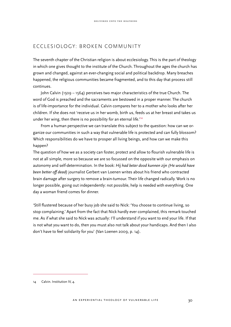#### ECCLESIOLOGY: BROKEN COMMUNITY

The seventh chapter of the Christian religion is about ecclesiology. This is the part of theology in which one gives thought to the institute of the Church. Throughout the ages the church has grown and changed, against an ever-changing social and political backdrop. Many breaches happened, the religious communities became fragmented, and to this day that process still continues.

John Calvin (1509 – 1564) perceives two major characteristics of the true Church. The word of God is preached and the sacraments are bestowed in a proper manner. The church is of life-importance for the individual. Calvin compares her to a mother who looks after her children. If she does not 'receive us in her womb, birth us, feeds us at her breast and takes us under her wing, then there is no possibility for an eternal life.<sup>14</sup>

From a human perspective we can translate this subject to the question: how can we organize our communities in such a way that vulnerable life is protected and can fully blossom? Which responsibilities do we have to prosper all living beings, and how can we make this happen?

The question of how we as a society can foster, protect and allow to flourish vulnerable life is not at all simple, more so because we are so focussed on the opposite with our emphasis on autonomy and self-determination. In the book: *Hij had beter dood kunnen zijn (He would have been better off dead)* journalist Gerbert van Loenen writes about his friend who contracted brain damage after surgery to remove a brain-tumour. Their life changed radically. Work is no longer possible, going out independently: not possible, help is needed with everything. One day a woman friend comes for dinner.

'Still flustered because of her busy job she said to Nick: 'You choose to continue living, so stop complaining.' Apart from the fact that Nick hardly ever complained, this remark touched me. As if what she said to Nick was actually: I'll understand if you want to end your life. If that is not what you want to do, then you must also not talk about your handicaps. And then I also don't have to feel solidarity for you' (Van Loenen 2009, p. 14).

<sup>14</sup> Calvin. Institution IV, 4.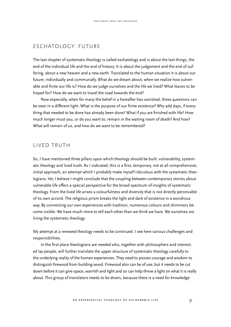#### ESCHATOLOGY: FUTURE

The last chapter of systematic theology is called eschatology and is about the last things, the end of the individual life and the end of history. It is about the judgement and the end of suffering, about a new heaven and a new earth. Translated to the human situation it is about our future, individually and communally. What do we dream about, when we realize how vulnerable and finite our life is? How do we judge ourselves and the life we lived? What leaves to be hoped for? How do we want to travel the road towards the end?

Now especially, when for many the belief in a hereafter has vanished, these questions can be seen in a different light. What is the purpose of our finite existence? Why add days, if everything that needed to be done has already been done? What if you are finished with life? How much longer must you, or do you want to, remain in the waiting room of death? And how? What will remain of us, and how do we want to be remembered?

#### LIVED TRUTH

So, I have mentioned three pillars upon which theology should be built: vulnerability, systematic theology and lived truth. As I indicated, this is a first, temporary, not at all comprehensive, initial approach, an attempt which I probably make myself ridiculous with the systematic theologians. Yet, I believe I might conclude that the coupling between contemporary stories about vulnerable life offers a special perspective for the broad spectrum of insights of systematic theology. From the lived life arises a colourfulness and diversity that is not directly perceivable of its own accord. The religious prism breaks the light and dark of existence in a wondrous way. By connecting our own experiences with tradition, numerous colours and shimmers become visible. We have much more to tell each other than we think we have. We ourselves are living the systematic theology.

My attempt at a renewed theology needs to be continued. I see here various challenges and responsibilities.

In the first place theologians are needed who, together with philosophers and interested lay-people, will further translate the upper structure of systematic theology carefully to the underlying reality of the human experiences. They need to posses courage and wisdom to distinguish firewood from building wood. Firewood also can be of use, but it needs to be cut down before it can give space, warmth and light and so can help throw a light on what it is really about. This group of translators needs to be divers, because there is a need for knowledge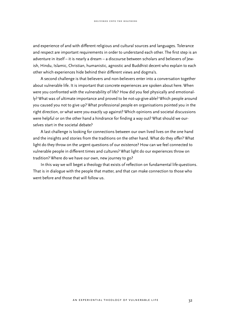and experience of and with different religious and cultural sources and languages. Tolerance and respect are important requirements in order to understand each other. The first step is an adventure in itself – it is nearly a dream – a discourse between scholars and believers of Jewish, Hindu, Islamic, Christian, humanistic, agnostic and Buddhist decent who explain to each other which experiences hide behind their different views and dogma's.

A second challenge is that believers and non-believers enter into a conversation together about vulnerable life. It is important that concrete experiences are spoken about here. When were you confronted with the vulnerability of life? How did you feel physically and emotionally? What was of ultimate importance and proved to be not-up-give-able? Which people around you caused you not to give up? What professional people en organisations pointed you in the right direction, or what were you exactly up against? Which opinions and societal discussions were helpful or on the other hand a hindrance for finding a way out? What should we ourselves start in the societal debate?

A last challenge is looking for connections between our own lived lives on the one hand and the insights and stories from the traditions on the other hand. What do they offer? What light do they throw on the urgent questions of our existence? How can we feel connected to vulnerable people in different times and cultures? What light do our experiences throw on tradition? Where do we have our own, new journey to go?

In this way we will beget a theology that exists of reflection on fundamental life-questions. That is in dialogue with the people that matter, and that can make connection to those who went before and those that will follow us.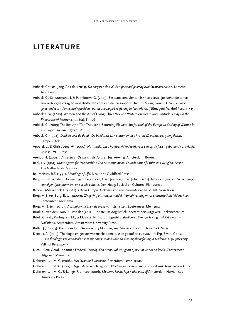### **Literature**

- Anbeek, Christa, Jong, Ada de, (2013). *De berg van de ziel. Een persoonlijk essay over kwetsbaar leven.* Utrecht: Ten Have.
- Anbeek, C., Schuurmans, J. & Palmboom, G. (2013). Bestaansconsulenten binnen eerstelijns behandeltemas: een verborgen vraag en mogelijkheden voor een nieuw aanbond. In: Erp, S van, Goris, H. *De theologie gevierendeeld : Vier spanningsvelden voor de theologiebeoefening in Nederland.* [Nijmegen]: Valkhof Pers. 137-159.
- Anbeek, C.W. (2010). Women and the Art of Living: Three Women Writers on Death and Finitude. *Essays in the Philosophy of Humanism, 18*(2), 89-106.
- Anbeek, C. (2009) The Beauty of Ten Thousand Blooming Flowers. In: *Journal of the European Society of Women in Theological Research* 17, 59-68.
- Anbeek, C. (1994). *Denken over de dood : De boeddhist K. nishitani en de christen W. pannenberg vergeleken*. Kampen: Kok.
- Apostel, L., & Christiaens, W. (2000). *Natuurfilosofie : Voorbereidend werk voor een op de fysica gebaseerde ontologie.* Brussel: VUBPress.
- Arendt, H. (2004). *Vita activa : De mens : Bestaan en bestemming.* Amsterdam: Boom.
- Baal, J. v. (1981). *Man's Quest for Partnership : The Anthropological Foundations of Ethics and Religion.* Assen, The Netherlands: Van Gorcum.
- Baumeister, R.F. (1991). *Meanings of Life.* New York: Guildford Press.
- Berg, Esther van den, Houwelingen, Pepijn van, Hart, Joep de, Ross, Julian (2011). *Informele groepen: Verkenningen van eigentijdse bronnen van sociale cohesie.* Den Haag: Sociaal en Cultureel Planbureau.
- Berkvens-Stevelinck, C. (2012). *Erfenis Europa. Toekomst van een stervende zwaan.* Vught: Skandalon.
- Borg, M.B. ter. Borg, B. ter. (2009). *Zingeving als machtsmiddel : Van zinverlangen tot charismatisch leiderschap.* Zoetermeer: Meinema.
- Borg, M. B. ter. (2010). *Vrijzinnigen hebben de toekomst : Een essay.* Zoetermeer: Meinema.
- Brink, G. van den , Kooi, C. van der (2012). Christelijke dogmatiek. Zoetermeer: Uitgeverij Boekencentrum.
- Brink, G. v. d., Panhuysen, M., & Maalsté, N. (2012). *Eigentijds idealisme : Een afrekening met het cynisme in Nederland.* Amsterdam: Amsterdam University Press.
- Butler, J.,. (2003). *Precarious life : The Powers of Mourning and Violence*. London; New York: Verso.
- Denaux, A. (2013). Theologie en geesteswetenschappen: tussen geloof en cultuur. . In: Erp, S van, Goris, H. *De theologie gevierendeeld : Vier spanningsvelden voor de theologiebeoefening in Nederland.* [Nijmegen]: Valkhof Pers. 40-57.
- Dicou, Bert, Goud, Johannes Frederik (2008). *Een mens, vol van geest : Jezus in woord en beeld.* Zoetermeer: Uitgeverij Meinema.
- Dohmen, L. J. M. C. (2008). *Het leven als kunstwerk.* Rotterdam: Lemniscaat.
- Dohmen, L. J. M. C. (2007). *Tegen de onverschilligheid : Pleidooi voor een moderne levenskunst.* Amsterdam Ambo.
- Dohmen, L. J. M. C., & Lange, F. d. (cop. 2006). *Moderne levens lopen niet vanzelf* Amsterdam Humanistic University Press.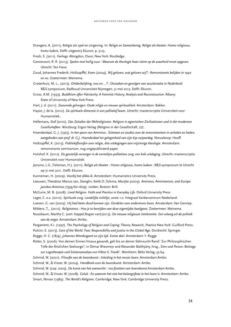Droogers, A. (2011). Religie als spel en zingeving. In: *Religie en Samenleving. Religie als theater. Homo religiosus, homo ludens.* Delft: uitgeverij Eburon, p. 9-23.

Frosh, S. (2011). *Feelings.* Abingdon, Oxon; New York: Routledge.

- Ganzevoort, R. R. (2013). *Spelen met heilig vuur : Waarom de theologie haar claim op de waarheid moet opgeven.* Utrecht: Ten Have.
- Goud, Johannes Frederik, Holtzapffel, Koen (2004). *Wij geloven, wat geloven wij? : Remonstrants belijden in 1940 en nu.* Zoetermeer: Meinema.
- Grotenhuis, M. t.,. (2013). *Ontkerkelijking, nou en ...? : Oorzaken en gevolgen van secularisatie in Nederland*: R&S-symposium, Radboud Universiteit Nijmegen, 31 mei 2013. Delft: Eburon.
- Gross, R.M. (1993). *Buddhism after Patriarchy. A Feminist History, Analysis and Reconstruction. Albany:* State of University of New York Press.
- Hart, J. d. (2011). *Zwevende gelovigen: Oude religie en nieuwe spiritualiteit.* Amsterdam: Bakker.
- Hayze, J. de la. (2012). *De spirituele dimensie in een palliatief team.* Utrecht: masterscriptie Universiteit voor Humanistiek..
- Hellemans, Staf (2010). *Das Zeitalter der Weltreligionen. Religion in agrarischen Zivilisationen und in der modernen Gesellschaften.* Würzburg: Ergon Verlag (Religion in der Gesellschaft, 27).
- Hoenderdaal, G. J. (1975). *In het spoor van Arminius : Schetsen en studies over de remonstranten in verleden en heden, aangeboden aan prof. dr. G.J. Hoenderdaal ter gelegenheid van zijn 65e verjaardag.* Nieuwkoop: Heuff.
- Holtzapffel, K. (2013). *Publieksfilosofen over religie, drie uitdagingen aan vrijzinnige theologie.* Amsterdam: remonstrants seminarium, nog ongepubliceerd paper.
- Hulshof, K. (2012). *De geestelijk verzorger in de eerstelijns palliatieve zorg: een hele uitdaging.* Utrecht: masterscriptie Universiteit voor Humanistiek.
- Jansma, L.G.,Tieleman, H.J. (2011). *Religie als theater : Homo religiosus, homo ludens :* R&S-symposium te Utrecht op 31 mei 2011. Delft: Eburon.
- Kunneman, H. (2009). *Voorbij het dikke-ik.* Amsterdam: Humanistics University Press.
- Leeuwen, Theodoor Marius van, Stanglin, Keith D.,Tolsma, Marijke (2009). *Arminius, Arminianism, and Europe. Jacobus Arminius (1559/60-1609)*. Leiden, Boston: Brill.
- McGuire, M. B. (2008). *Lived Religion. Faith and Practice in Everyday Life.* Oxford University Press
- Leget, C. e.a. (2010). *Spirituele zorg. Landelijke richtlijn, versie 1.0.* Integraal Kankercentrum Nederland.

Loenen, G. van (2009). *Hij had beter dood kunnen zijn. Oordelen over andermens leven.* Amsterdam: Van Gennep.

- Mikkers, T.,. (2012). *Religiestress : Hoe je te bevrijden van deze eigentijdse kwelgeest.* Zoetermeer: Meinema.
- Nussbaum, Martha C. (vert. Kappel,Rogier van)(2013). *De nieuwe religieuze intolerantie. Een uitweg uit de politiek van de angst*. Amsterdam: Ambo.
- Pargament, K.I. (1997). *The Psychology of Religion and Coping: Theory, Research, Practice* New York: Guilford Press.

Pulcini, E. (2013). *Care of the World. Fear, Responsibility and Justice in the Global Age.* Dordrecht: Springer.

Rogge, H. C. (1874). *Johannes Wtenbogaert en zijn tijd. Eerste deel.* Amsterdam: Y. Rogge

Rütter, S. (2006). Von deinen Sinnen hinaus gesandt, geh bis an deiner Sehnsucht Rand:' Zur Philosophischen Tiefe der Ärtzlichen Seelsorge", in Otmar Wiesmeyr and Alexander Batthyány, hrsg., *Sinn und Person: Beitrage zur Logotherapie und Existenzanalyse von Viktor E. Frankl* . Weinheim: Beltz Verlag, 53-64.

Schmid, W. (2001). *Filosofie van de levenskunst : Inleiding in het mooie leven*. Amsterdam Ambo.

Schmid, W., & Visser, W. (2004). *Handboek voor de levenskunst*. Amsterdam: Ambo.

Schmid, W. (cop. 2005). *De kunst van het evenwicht : 100 facetten van levenskunst*.Amsterdam Ambo.

Schmid, W., & Visser, W. (2008). *Geluk : En waarom het niet het belangrijkste in het leven is.* Amsterdam: Ambo.

Smart, Ninian (1989). *The World's Religions*. Cambridge; New York: Cambridge University Press.